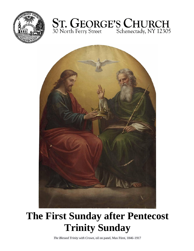





# **The First Sunday after Pentecost Trinity Sunday**

*The Blessed Trinity with Crown*, oil on panel, Max Fürst, 1846–1917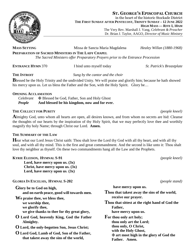**ST. GEORGE'S EPISCOPAL CHURCH** in the heart of the historic Stockade District **THE FIRST SUNDAY AFTER PENTECOST, TRINITY SUNDAY – 12 JUNE 2022 HIGH MASS — RITE I, 10AM**

The Very Rev. Marshall J. Vang, *Celebrant & Preacher* Dr. Brian J. Taylor, AAGO, *Director of Music Ministry*

# **MASS SETTING** Missa de Sancta Maria Magdalena *Healey Willan (1880-1968)* **PREPARATION OF SACRED MINISTERS IN THE LADY CHAPEL** *The Sacred Ministers offer Preparatory Prayers prior to the Entrance Procession*

**ENTRANCE HYMN** 370 I bind unto myself today *St. Patrick's Breastplate*

# **THE INTROIT** *Sung by the cantor and the choir*

**B**lessed be the Holy Trinity and the undivided Unity. We will praise and glorify him; because he hath showed his mercy upon us. Let us bless the Father and the Son, with the Holy Spirit. Glory be...

# **OPENING ACCLAMATION**

Celebrant  $\Phi$  Blessed be God, Father, Son and Holy Ghost<br>**People** And blessed be his kingdom, now and for eve And blessed be his kingdom, now and for ever.

### **THE COLLECT FOR PURITY** *(people kneel)*

**A**lmighty God, unto whom all hearts are open, all desires known, and from whom no secrets are hid: Cleanse the thoughts of our hearts by the inspiration of thy Holy Spirit, that we may perfectly love thee and worthily magnify thy holy Name; through Christ our Lord. **Amen.**

# **THE SUMMARY OF THE LAW**

**H**ear what our Lord Jesus Christ saith: Thou shalt love the Lord thy God with all thy heart, and with all thy soul, and with all thy mind. This is the first and great commandment. And the second is like unto it: Thou shalt love thy neighbor as thyself. On these two commandments hang all the Law and the Prophets.

**KYRIE ELEISON, HYMNAL S-91** *(people kneel)*

**Lord, have mercy upon us. (3x) Christ, have mercy upon us. (3x) Lord, have mercy upon us***.* **(3x)**

**GLORIA IN EXCELSIS, HYMNAL S-202** *(people stand)*

**Glory be to God on high, and on earth peace, good will towards men.**

**We praise thee, we bless thee, we worship thee, we glorify thee, we give thanks to thee for thy great glory,**

- **O Lord God, heavenly King, God the Father Almighty.**
- **O Lord, the only-begotten Son, Jesus Christ;**
- **O Lord God, Lamb of God, Son of the Father, that takest away the sins of the world,**

**have mercy upon us. Thou that takest away the sins of the world, receive our prayer. Thou that sittest at the right hand of God the Father, have mercy upon us. For thou only art holy; thou only art the Lord; thou only, O Christ, with the Holy Ghost,**

✠ **art most high in the glory of God the**

**Father. Amen.**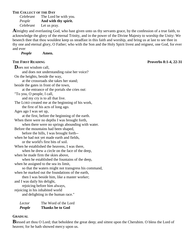### **THE COLLECT OF THE DAY**

*Celebrant* The Lord be with you. *People* **And with thy spirit.** *Celebrant* Let us pray.

**A**lmighty and everlasting God, who hast given unto us thy servants grace, by the confession of a true faith, to acknowledge the glory of the eternal Trinity, and in the power of the Divine Majesty to worship the Unity: We beseech thee that thou wouldest keep us steadfast in this faith and worship, and bring us at last to see thee in thy one and eternal glory, O Father; who with the Son and the Holy Spirit livest and reignest, one God, for ever and ever

*People* **Amen.**

**D**oes not wisdom call, and does not understanding raise her voice? On the heights, beside the way, at the crossroads she takes her stand; beside the gates in front of the town, at the entrance of the portals she cries out: "To you, O people, I call, and my cry is to all that live. The LORD created me at the beginning of his work, the first of his acts of long ago. Ages ago I was set up, at the first, before the beginning of the earth. When there were no depths I was brought forth, when there were no springs abounding with water. Before the mountains had been shaped, before the hills, I was brought forth- when he had not yet made earth and fields, or the world's first bits of soil. When he established the heavens, I was there, when he drew a circle on the face of the deep, when he made firm the skies above, when he established the fountains of the deep, when he assigned to the sea its limit, so that the waters might not transgress his command, when he marked out the foundations of the earth, then I was beside him, like a master worker; and I was daily his delight, rejoicing before him always, rejoicing in his inhabited world and delighting in the human race."

*Lector* The Word of the Lord *People* **Thanks be to God**

# **GRADUAL**

**B**lessed art thou O Lord; that beholdest the great deep; and sittest upon the Cherubim. O bless the Lord of heaven; for he hath showed mercy upon us.

**THE FIRST READING Proverbs 8:1-4, 22-31**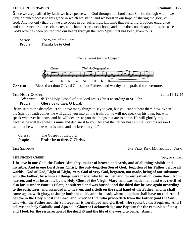### **THE EPISTLE READING Romans 5:1-5**

**S**ince we are justified by faith, we have peace with God through our Lord Jesus Christ, through whom we have obtained access to this grace in which we stand; and we boast in our hope of sharing the glory of God. And not only that, but we also boast in our sufferings, knowing that suffering produces endurance, and endurance produces character, and character produces hope, and hope does not disappoint us, because God's love has been poured into our hearts through the Holy Spirit that has been given to us.

*Lector* The Word of the Lord *People* **Thanks be to God**

*Please Stand for the Gospel*



**CANTOR** Blessed art thou O Lord God of our Fathers; and worthy to be praised for evermore.

### **THE HOLY GOSPEL SECUTE 2.15**

*Celebrant*  $\bf \Phi$  The Holy Gospel of our Lord Jesus Christ according to St. John **People Glory be to thee, O Lord.** Glory be to thee, O Lord.

**J**esus said to the disciples, "I still have many things to say to you, but you cannot bear them now. When the Spirit of truth comes, he will guide you into all the truth; for he will not speak on his own, but will speak whatever he hears, and he will declare to you the things that are to come. He will glorify me, because he will take what is mine and declare it to you. All that the Father has is mine. For this reason I said that he will take what is mine and declare it to you."

| Celebrant | The Gospel of the Lord.      |
|-----------|------------------------------|
| People    | Praise be to thee, O Christ. |

**THE NICENE CREED** *(people stand)*

**THE SERMON** THE VERY REV. MARSHALL J. VANG

**I believe in one God, the Father Almighty, maker of heaven and earth, and of all things visible and invisible**; **And in one Lord Jesus Christ, the only-begotten Son of God, begotten of his Father before all worlds, God of God, Light of Light, very God of very God, begotten, not made, being of one substance with the Father; by whom all things were made; who for us men and for our salvation came down from heaven, and was incarnate by the Holy Ghost of the Virgin Mary, and was made man; and was crucified also for us under Pontius Pilate; he suffered and was buried; and the third day he rose again according to the Scriptures, and ascended into heaven, and sitteth on the right hand of the Father; and he shall come again, with glory, to Judge both the quick and the dead; whose kingdom shall have no end. And I believe in the Holy Ghost the Lord, and Giver of Life, who proceedeth from the Father (and the Son); who with the Father and the Son together is worshiped and glorified; who spake by the Prophets. And I believe one holy Catholic and Apostolic Church; I acknowledge one Baptism for the remission of sins; and I look for the resurrection of the dead** ✠ **and the life of the world to come. Amen.**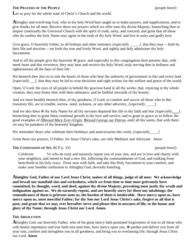### **THE PRAYERS OF THE PEOPLE** *(people kneel)*

Let us pray for the whole state of Christ's Church and the world.

**A**lmighty and everliving God, who in thy holy Word hast taught us to make prayers, and supplications, and to give thanks for all men: Receive these our prayers which we offer unto thy divine Majesty, beseeching thee to inspire continually the Universal Church with the spirit of truth, unity, and concord; and grant that all those who do confess thy holy Name may agree in the truth of thy holy Word, and live in unity and godly love.

Give grace, O heavenly Father, to all bishops and other ministers *[especially ]*, that they may -- both by their life and doctrine -- set forth thy true and lively Word, and rightly and duly administer thy holy Sacraments.

And to all thy people give thy heavenly  $\mathbf \Psi$  grace, and especially to this congregation here present; that, with meek heart and due reverence, they may hear and receive thy holy Word, truly serving thee in holiness and righteousness all the days of their life.

We beseech thee also so to rule the hearts of those who bear the authority of government in this and every land *[especially ]*, that they may be led to wise decisions and right actions for the welfare and peace of the world.

Open, O Lord, the eyes of all people to behold thy gracious hand in all thy works, that, rejoicing in thy whole creation, they may honor thee with their substance, and be faithful stewards of thy bounty.

And we most humbly beseech thee, of thy goodness, O Lord, to comfort and succor all those who in this transitory life, are in trouble, sorrow, need, sickness, or any other adversity, *[especially ]*.

And we also bless  $\mathfrak F$  thy holy Name for all thy servants departed this life in thy faith and fear *[especially ]*, beseeching thee to grant them continual growth in thy love and service; and to grant us grace so to follow the good examples of *[Blessed Mary Ever-Virgin, Blessed George our Patron, and]* all thy saints, that with them we may be partakers of thy heavenly kingdom.

We remember those who celebrate their birthdays and anniversaries this week, [especially *]* 

Grant these our prayers, O Father, for Jesus Christ's sake, our only Mediator and Advocate. *Amen.*

# **THE CONFESSION OF SIN**, BCP p. 331 *(people kneel)*

*Celebrant* Ye who do truly and earnestly repent you of your sins, and are in love and charity with your neighbors, and intend to lead a new life, following the commandments of God, and walking from henceforth in his holy ways: Draw near with faith, and take this Holy Sacrament to your comfort, and make your humble confession to Almighty God, devoutly kneeling.

**Almighty God, Father of our Lord Jesus Christ, maker of all things, judge of all men: We acknowledge and bewail our manifold sins and wickedness, which we from time to time most grievously have committed, by thought, word, and deed, against thy divine Majesty, provoking most justly thy wrath and indignation against us. We do earnestly repent, and are heartily sorry for these our misdoings; the remembrance of them is grievous unto us, the burden of them is intolerable. Have mercy upon us, have mercy upon us, most merciful Father; for thy Son our Lord Jesus Christ's sake, forgive us all that is past; and grant that we may ever hereafter serve and please thee in newness of life, to the honor and glory of thy Name; through Jesus Christ our Lord. Amen.**

# **THE ABSOLUTION**

**A**lmighty God, our heavenly Father, who of his great mercy hath promised forgiveness of sins to all those who with hearty repentance and true faith turn unto him, have mercy upon you,  $\mathbf{\Psi}$  pardon and deliver you from all your sins, confirm and strengthen you in all goodness, and bring you to everlasting life; through Jesus Christ our Lord. *Amen*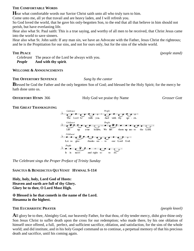### **THE COMFORTABLE WORDS**

**H**ear what comfortable words our Savior Christ saith unto all who truly turn to him.

Come unto me, all ye that travail and are heavy laden, and I will refresh you.

So God loved the world, that he gave his only-begotten Son, to the end that all that believe in him should not perish, but have everlasting life.

Hear also what St. Paul saith: This is a true saying, and worthy of all men to be received, that Christ Jesus came into the world to save sinners.

Hear also what St. John saith: If any man sin, we have an Advocate with the Father, Jesus Christ the righteous; and he is the Propitiation for our sins, and not for ours only, but for the sins of the whole world.

*Celebrant* The peace of the Lord be always with you. *People* **And with thy spirit***.*

### **WELCOME & ANNOUNCEMENTS**

### **THE OFFERTORY SENTENCE** *Sung by the cantor*

**B**lessed be God the Father and the only begotten Son of God; and blessed be the Holy Spirit; for the mercy he hath done unto us.

**OFFERTORY HYMN** 366 Holy God we praise thy Name *Grosser Gott*

### **THE GREAT THANKSGIVING**



*The Celebrant sings the Proper Preface of Trinity Sunday*

# **SANCTUS & BENEDICTUS QUI VENIT HYMNAL S-114**

**Holy, holy, holy, Lord God of Hosts: Heaven and earth are full of thy Glory. Glory be to thee, O Lord Most High.**

### ✠ **Blessed is he that cometh in the name of the Lord. Hosanna in the highest.**

### **THE EUCHARISTIC PRAYER** *(people kneel)*

**A**ll glory be to thee, Almighty God, our heavenly Father, for that thou, of thy tender mercy, didst give thine only Son Jesus Christ to suffer death upon the cross for our redemption; who made there, by his one oblation of himself once offered, a full, perfect, and sufficient sacrifice, oblation, and satisfaction, for the sins of the whole world; and did institute, and in his holy Gospel command us to continue, a perpetual memory of that his precious death and sacrifice, until his coming again.

**THE PEACE** *(people stand)*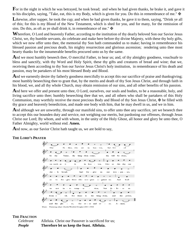**F**or in the night in which he was betrayed, he took bread; and when he had given thanks, he brake it, and gave it to his disciples, saying, "Take, eat, this is my Body, which is given for you. Do this in remembrance of me."  $\mathbf{\mathbf{\mathbf{\mathbb{F}}}}$ 

Likewise, after supper, he took the cup; and when he had given thanks, he gave it to them, saying, "Drink ye all of this; for this is my Blood of the New Testament, which is shed for you, and for many, for the remission of sins. Do this, as oft as ye shall drink it, in remembrance of me."  $\mathbf{\ddot{F}}$ 

**W**herefore, O Lord and heavenly Father, according to the institution of thy dearly beloved Son our Savior Jesus Christ, we, thy humble servants, do celebrate and make here before thy divine Majesty, with these thy holy gifts, which we now offer unto thee, the memorial thy Son hath commanded us to make; having in remembrance his blessed passion and precious death, his mighty resurrection and glorious ascension; rendering unto thee most hearty thanks for the innumerable benefits procured unto us by the same.

And we most humbly beseech thee, O merciful Father, to hear us; and, of thy almighty goodness, vouchsafe to bless and sanctify, with thy Word and Holy Spirit, these thy gifts and creatures of bread and wine; that we, receiving them according to thy Son our Savior Jesus Christ's holy institution, in remembrance of his death and passion, may be partakers of his most blessed Body and Blood.

**A**nd we earnestly desire thy fatherly goodness mercifully to accept this our sacrifice of praise and thanksgiving; most humbly beseeching thee to grant that, by the merits and death of thy Son Jesus Christ, and through faith in his blood, we, and all thy whole Church, may obtain remission of our sins, and all other benefits of his passion.

And here we offer and present unto thee, O Lord, ourselves, our souls and bodies, to be a reasonable, holy, and living sacrifice unto thee; humbly beseeching thee that we, and all others who shall be partakers of this Holy Communion, may worthily receive the most precious Body and Blood of thy Son Jesus Christ,  $\mathbf{\Psi}$  be filled with thy grace and heavenly benediction, and made one body with him, that he may dwell in us, and we in him.

And although we are unworthy, through our manifold sins, to offer unto thee any sacrifice, yet we beseech thee to accept this our bounden duty and service, not weighing our merits, but pardoning our offenses, through Jesus Christ our Lord; By whom, and with whom, in the unity of the Holy Ghost, all honor and glory be unto thee, O Father Almighty, world without end. **Amen.**

And now, as our Savior Christ hath taught us, we are bold to say,

### **THE LORD'S PRAYER**



### **THE FRACTION**

*Celebrant* Alleluia. Christ our Passover is sacrificed for us; *People* **Therefore let us keep the feast. Alleluia.**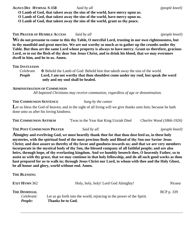**AGNUS DEI HYMNAL S-158** *Said by all (people kneel)*

**O Lamb of God, that takest away the sins of the world, have mercy upon us.**

**O Lamb of God, that takest away the sins of the world, have mercy upon us.**

**O Lamb of God, that takest away the sins of the world, grant us thy peace.**

# **THE PRAYER OF HUMBLE ACCESS** *Said by all (people kneel)*

**We do not presume to come to this thy Table, O merciful Lord, trusting in our own righteousness, but in thy manifold and great mercies. We are not worthy so much as to gather up the crumbs under thy Table. But thou art the same Lord whose property is always to have mercy. Grant us therefore, gracious Lord, so to eat the flesh of thy dear Son Jesus Christ, and to drink his blood, that we may evermore dwell in him, and he in us. Amen.**

# **THE INVITATION**

*Celebrant*  $\bullet$  **Example 1.4** Behold the Lamb of God: Behold him that taketh away the sins of the world.<br>**People** Lord, I am not worthy that thou shouldest come under my roof, but speak to Lord, I am not worthy that thou shouldest come under my roof, but speak the word **only and my soul shall be healed.**

# **ADMINISTRATION OF COMMUNION**

*All baptized Christians may receive communion, regardless of age or denomination.*

# **THE COMMUNION SENTENCE** *Sung by the cantor*

Let us bless the God of heaven; and in the sight of all living will we give thanks unto him; because he hath done unto us after his loving kindness.

| THE COMMUNION ANTHEM | Twas in the Year that King Uzziah Died | Charles Wood (1866-1926) |
|----------------------|----------------------------------------|--------------------------|
|----------------------|----------------------------------------|--------------------------|

**THE POST COMMUNION PRAYER** *Said by all (people kneel)*

**Almighty and everliving God, we most heartily thank thee for that thou dost feed us, in these holy mysteries, with the spiritual food of the most precious Body and Blood of thy Son our Savior Jesus Christ; and dost assure us thereby of thy favor and goodness towards us; and that we are very members incorporate in the mystical body of thy Son, the blessed company of all faithful people; and are also heirs, through hope, of thy everlasting kingdom. And we humbly beseech thee, O heavenly Father, so to assist us with thy grace, that we may continue in that holy fellowship, and do all such good works as thou hast prepared for us to walk in; through Jesus Christ our Lord, to whom with thee and the Holy Ghost, be all honor and glory, world without end. Amen.**

**THE BLESSING**

| <b>EXIT HYMN 362</b>                          | Holy, holy, holy! Lord God Almighty!                                                       | Nicaea            |
|-----------------------------------------------|--------------------------------------------------------------------------------------------|-------------------|
| <b>THE DISMISSAL</b><br>Celebrant:<br>People: | Let us go forth into the world, rejoicing in the power of the Spirit.<br>Thanks be to God. | <b>BCP</b> p. 339 |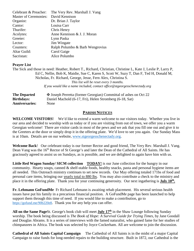| Celebrant & Preacher:        | The Very Rev. Marshall J. Vang  |
|------------------------------|---------------------------------|
| <b>Master of Ceremonies:</b> | David Kennison                  |
| Organist:                    | Dr. Brian J. Taylor             |
| Cantor:                      | Louisa Carr                     |
| Thurifer:                    | Chris Henry                     |
| Acolytes:                    | Anne Kennison & J. J. Moran     |
| Greeter:                     | Lynn Paska                      |
| Lector:                      | Jim Wingate                     |
| Counters:                    | Ralph Polumbo & Barb Wengrovius |
| Altar Guild:                 | Carol Gaige                     |
| Sacristan:                   | Alice Polumbo                   |

### **Prayer List**

The Sick and those in need: Heather, Robert T., Richard, Christian, Christine L, Kate J, Leslie P, Larry P, Ed C, Nellie, Bob K, Maidie, Sue C, Karen S, Scott W, Suzy T, Dan F, Ted H, Donald M, Nicholas, Fr. Richard, George, Jesse, Fern Alex, Christina S. *This list will be reset every 3 months. If you would like a name included, contact office@stgeorgesschenectady.org*

**The Departed**  $\bullet$  **Joseph Perretta (former Georgian) Committal of ashes on Oct 22<br><b>Birthdays:** Daniel Machold (6-17, Fri), Helen Stromberg (6-18, Sat) **Birthdays:** Daniel Machold (6-17, Fri), Helen Stromberg (6-18, Sat) **Anniversaries:** None

# **PARISH NOTICES**

**WELCOME VISITORS!** We'd like to extend a warm welcome to our visitors today. Whether you live in our area and decided to worship with us today or if you are visiting from out of town, we offer you a warm Georgian welcome! There are visitor cards in most of the pews and we ask that you fill one out and give it to the Greeters at the door or simply drop it in the offering plate. We'd love to see you again. Our Sunday Mass is at 10am. Details are on our website, www.stgeorgesschenectady.org.

**Welcome Back**! Our celebrant today is our former Rector and good friend, The Very Rev. Marshall J. Vang. Dean Vang was the 16<sup>th</sup> Rector of St George's and later the Dean of the Cathedral of All Saints. He has graciously agreed to assist us on Sundays, as is possible, and we are delighted to again have him with us.

**Little Red Wagon Sunday/ SICM collection TODAY!** is our June collection for the hungry in our community. Hearty soups, canned & shelf-stable foods, healthy snacks, pasta and personal hygiene items are all needed. This Outreach ministry continues to set new records. Our May offering totaled 171bs of food and personal care items, bringing our yearly total to 880 lbs. You may also contribute a check to the ministry and place it in the offering plate. Thank you for your continuing generosity. Our next ingathering is **July 10th .**

**Fr. Lehmann GoFundMe** Fr Richard Lehmann is awaiting rehab placement. His several serious health issues have put his family in a precarious financial position. A GoFundMe page has been launched to help support them through this time of need. If you would like to make a contribution, go to https://gofund.me/90b220e8. Thank you for any help you can offer.

**All on the Same Page**St. George's book club will meet **July 17th** in the Shaw Lounge following Sunday worship. The book being discussed is *The Book of Hope: A Survival Guide for Trying Times,* by Jane Goodall and Douglas Abrams. It is a series of interviews with the famed naturalist, who gained fame for her studies of chimpanzees in Africa. The book was selected by Joyce Cockerham. All are welcome to join the discussion.

**Cathedral of All Saints Capital Campaign** The Cathedral of All Saints is in the midst of a major Capital Campaign to raise funds for long-needed repairs to the building structure. Built in 1872, our Cathedral is the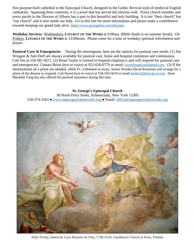first purpose-built cathedral in the Episcopal Church, designed in the Gothic Revival style of medieval English cathedrals. Spanning three centuries, it is a jewel that has served this diocese well. Every church member and every parish in the Diocese of Albany has a part in this beautiful and holy building. It is not "their church" but "our church" and it now needs our help. Go to this site for more information and please make a contribution towards keeping our grand lady alive. https://www.givingsites.com/allsaints/

**Weekday Services**. Wednesdays, **LITURGY OF THE WORD** at 9:00am. (Bible Study is on summer break). On Fridays, **LITURGY OF THE WORD** at 12:00noon. Please come for a time of weekday spiritual refreshment and prayer.

**Pastoral Care & Emergencies** During the interregnum, here are the options for pastoral care needs: (1) Jim Wingate & Ann Duff are always available for pastoral care, home and hospital visitations and communion. Call Jim at 518-381-9271. (2) Brian Taylor is trained in hospital chaplaincy and will respond for pastoral care and emergencies. Contact Brian (text or voice) at 912-656-0779 or email cornishanglican@gmail.com. (3) If the ministrations of a priest are needed, while Fr. Lehmann is away, Senior Warden David Kennison will arrange for a priest of the diocese to respond. Call David (text or voice) at 518-320-5619 or email kentech2@nycap.rr.com. Dean Marshall Vang has also offered his pastoral assistance during this time.

**St. George's Episcopal Church** 30 North Ferry Street, Schenectady, New York 12305 518-374-3163 **●** www.stgeorgesschenectady.org **●** Email: office@stgeorgesschenectady.org



*Holy Trinity*, fresco by Luca Rossetti da Orta, 1738–9 (St. Gaudenzio Church at Ivrea, Torino)